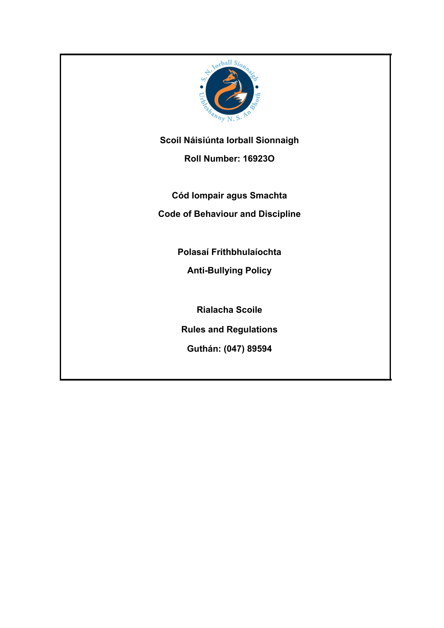

**Scoil Náisiúnta Iorball Sionnaigh**

**Roll Number: 16923O**

**Cód Iompair agus Smachta**

**Code of Behaviour and Discipline**

**Polasaí Frithbhulaíochta**

**Anti-Bullying Policy**

**Rialacha Scoile**

**Rules and Regulations**

**Guthán: (047) 89594**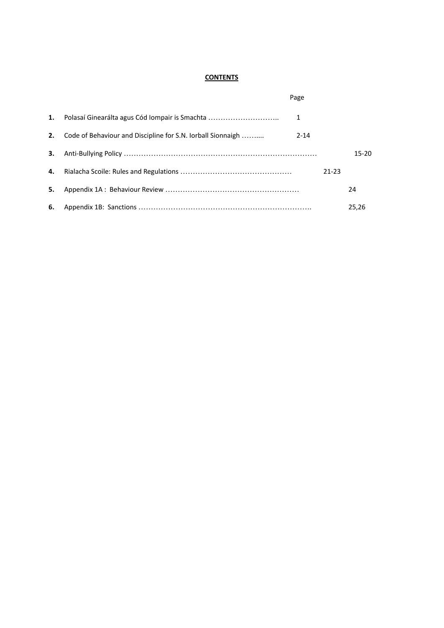#### **CONTENTS**

|    |                                                             | Page     |           |           |  |
|----|-------------------------------------------------------------|----------|-----------|-----------|--|
| 1. | Polasaí Ginearálta agus Cód Iompair is Smachta              | 1        |           |           |  |
| 2. | Code of Behaviour and Discipline for S.N. lorball Sionnaigh | $2 - 14$ |           |           |  |
| 3. |                                                             |          |           | $15 - 20$ |  |
| 4. |                                                             |          | $21 - 23$ |           |  |
| 5. |                                                             |          |           | 24        |  |
| 6. |                                                             |          |           | 25.26     |  |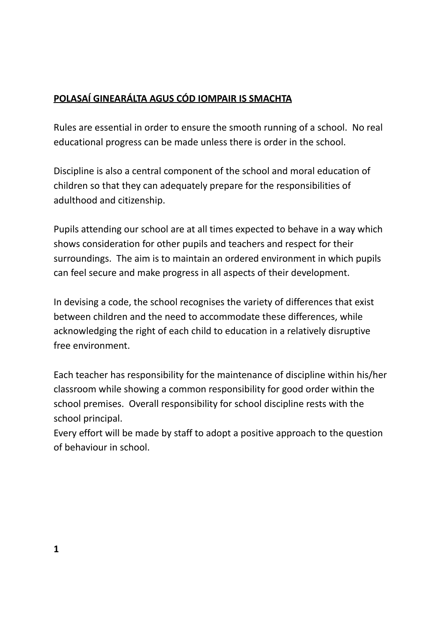# **POLASAÍ GINEARÁLTA AGUS CÓD IOMPAIR IS SMACHTA**

Rules are essential in order to ensure the smooth running of a school. No real educational progress can be made unless there is order in the school.

Discipline is also a central component of the school and moral education of children so that they can adequately prepare for the responsibilities of adulthood and citizenship.

Pupils attending our school are at all times expected to behave in a way which shows consideration for other pupils and teachers and respect for their surroundings. The aim is to maintain an ordered environment in which pupils can feel secure and make progress in all aspects of their development.

In devising a code, the school recognises the variety of differences that exist between children and the need to accommodate these differences, while acknowledging the right of each child to education in a relatively disruptive free environment.

Each teacher has responsibility for the maintenance of discipline within his/her classroom while showing a common responsibility for good order within the school premises. Overall responsibility for school discipline rests with the school principal.

Every effort will be made by staff to adopt a positive approach to the question of behaviour in school.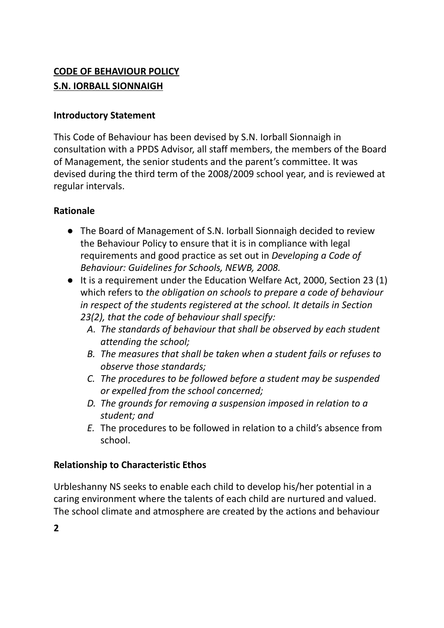# **CODE OF BEHAVIOUR POLICY S.N. IORBALL SIONNAIGH**

#### **Introductory Statement**

This Code of Behaviour has been devised by S.N. Iorball Sionnaigh in consultation with a PPDS Advisor, all staff members, the members of the Board of Management, the senior students and the parent's committee. It was devised during the third term of the 2008/2009 school year, and is reviewed at regular intervals.

### **Rationale**

- **●** The Board of Management of S.N. Iorball Sionnaigh decided to review the Behaviour Policy to ensure that it is in compliance with legal requirements and good practice as set out in *Developing a Code of Behaviour: Guidelines for Schools, NEWB, 2008.*
- *●* It is a requirement under the Education Welfare Act, 2000, Section 23 (1) which refers to *the obligation on schools to prepare a code of behaviour in respect of the students registered at the school. It details in Section 23(2), that the code of behaviour shall specify:*
	- *A. The standards of behaviour that shall be observed by each student attending the school;*
	- *B. The measures that shall be taken when a student fails or refuses to observe those standards;*
	- *C. The procedures to be followed before a student may be suspended or expelled from the school concerned;*
	- *D. The grounds for removing a suspension imposed in relation to a student; and*
	- *E.* The procedures to be followed in relation to a child's absence from school.

### **Relationship to Characteristic Ethos**

Urbleshanny NS seeks to enable each child to develop his/her potential in a caring environment where the talents of each child are nurtured and valued. The school climate and atmosphere are created by the actions and behaviour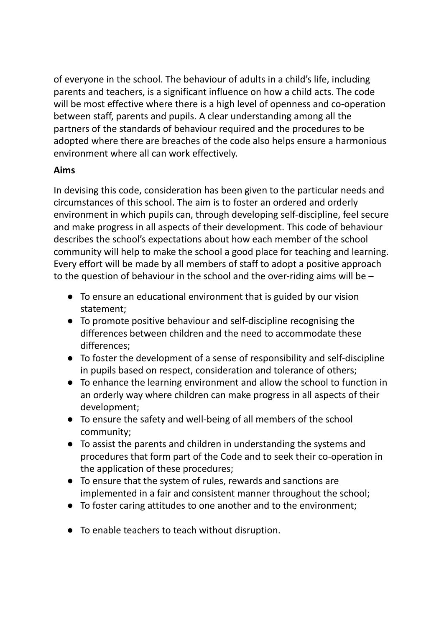of everyone in the school. The behaviour of adults in a child's life, including parents and teachers, is a significant influence on how a child acts. The code will be most effective where there is a high level of openness and co-operation between staff, parents and pupils. A clear understanding among all the partners of the standards of behaviour required and the procedures to be adopted where there are breaches of the code also helps ensure a harmonious environment where all can work effectively.

## **Aims**

In devising this code, consideration has been given to the particular needs and circumstances of this school. The aim is to foster an ordered and orderly environment in which pupils can, through developing self-discipline, feel secure and make progress in all aspects of their development. This code of behaviour describes the school's expectations about how each member of the school community will help to make the school a good place for teaching and learning. Every effort will be made by all members of staff to adopt a positive approach to the question of behaviour in the school and the over-riding aims will be –

- To ensure an educational environment that is guided by our vision statement;
- To promote positive behaviour and self-discipline recognising the differences between children and the need to accommodate these differences;
- To foster the development of a sense of responsibility and self-discipline in pupils based on respect, consideration and tolerance of others;
- To enhance the learning environment and allow the school to function in an orderly way where children can make progress in all aspects of their development;
- To ensure the safety and well-being of all members of the school community;
- To assist the parents and children in understanding the systems and procedures that form part of the Code and to seek their co-operation in the application of these procedures;
- To ensure that the system of rules, rewards and sanctions are implemented in a fair and consistent manner throughout the school;
- To foster caring attitudes to one another and to the environment;
- To enable teachers to teach without disruption.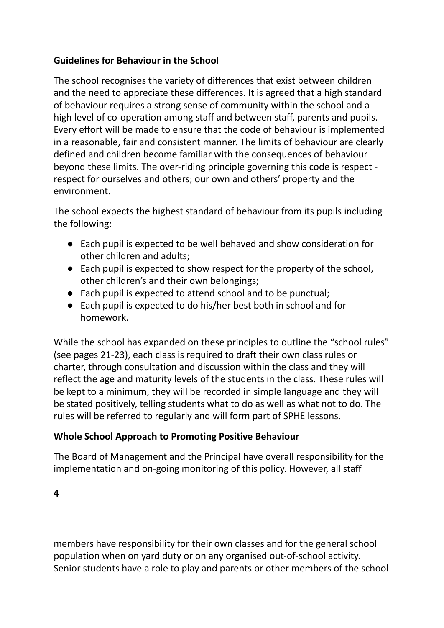### **Guidelines for Behaviour in the School**

The school recognises the variety of differences that exist between children and the need to appreciate these differences. It is agreed that a high standard of behaviour requires a strong sense of community within the school and a high level of co-operation among staff and between staff, parents and pupils. Every effort will be made to ensure that the code of behaviour is implemented in a reasonable, fair and consistent manner. The limits of behaviour are clearly defined and children become familiar with the consequences of behaviour beyond these limits. The over-riding principle governing this code is respect respect for ourselves and others; our own and others' property and the environment.

The school expects the highest standard of behaviour from its pupils including the following:

- Each pupil is expected to be well behaved and show consideration for other children and adults;
- Each pupil is expected to show respect for the property of the school, other children's and their own belongings;
- Each pupil is expected to attend school and to be punctual;
- Each pupil is expected to do his/her best both in school and for homework.

While the school has expanded on these principles to outline the "school rules" (see pages 21-23), each class is required to draft their own class rules or charter, through consultation and discussion within the class and they will reflect the age and maturity levels of the students in the class. These rules will be kept to a minimum, they will be recorded in simple language and they will be stated positively, telling students what to do as well as what not to do. The rules will be referred to regularly and will form part of SPHE lessons.

### **Whole School Approach to Promoting Positive Behaviour**

The Board of Management and the Principal have overall responsibility for the implementation and on-going monitoring of this policy. However, all staff

**4**

members have responsibility for their own classes and for the general school population when on yard duty or on any organised out-of-school activity. Senior students have a role to play and parents or other members of the school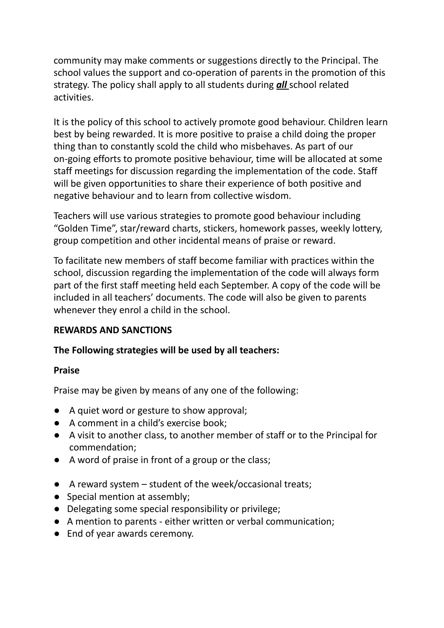community may make comments or suggestions directly to the Principal. The school values the support and co-operation of parents in the promotion of this strategy. The policy shall apply to all students during *all* school related activities.

It is the policy of this school to actively promote good behaviour. Children learn best by being rewarded. It is more positive to praise a child doing the proper thing than to constantly scold the child who misbehaves. As part of our on-going efforts to promote positive behaviour, time will be allocated at some staff meetings for discussion regarding the implementation of the code. Staff will be given opportunities to share their experience of both positive and negative behaviour and to learn from collective wisdom.

Teachers will use various strategies to promote good behaviour including "Golden Time", star/reward charts, stickers, homework passes, weekly lottery, group competition and other incidental means of praise or reward.

To facilitate new members of staff become familiar with practices within the school, discussion regarding the implementation of the code will always form part of the first staff meeting held each September. A copy of the code will be included in all teachers' documents. The code will also be given to parents whenever they enrol a child in the school.

### **REWARDS AND SANCTIONS**

### **The Following strategies will be used by all teachers:**

#### **Praise**

Praise may be given by means of any one of the following:

- A quiet word or gesture to show approval;
- A comment in a child's exercise book;
- A visit to another class, to another member of staff or to the Principal for commendation;
- A word of praise in front of a group or the class;
- A reward system student of the week/occasional treats;
- Special mention at assembly;
- Delegating some special responsibility or privilege;
- A mention to parents either written or verbal communication;
- End of year awards ceremony.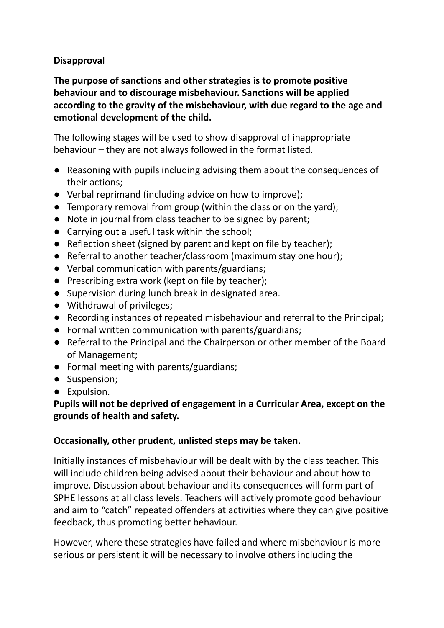### **Disapproval**

**The purpose of sanctions and other strategies is to promote positive behaviour and to discourage misbehaviour. Sanctions will be applied according to the gravity of the misbehaviour, with due regard to the age and emotional development of the child.**

The following stages will be used to show disapproval of inappropriate behaviour – they are not always followed in the format listed.

- Reasoning with pupils including advising them about the consequences of their actions;
- Verbal reprimand (including advice on how to improve);
- Temporary removal from group (within the class or on the yard);
- Note in journal from class teacher to be signed by parent;
- Carrying out a useful task within the school;
- Reflection sheet (signed by parent and kept on file by teacher);
- Referral to another teacher/classroom (maximum stay one hour);
- Verbal communication with parents/guardians;
- Prescribing extra work (kept on file by teacher);
- Supervision during lunch break in designated area.
- Withdrawal of privileges;
- Recording instances of repeated misbehaviour and referral to the Principal;
- Formal written communication with parents/guardians;
- Referral to the Principal and the Chairperson or other member of the Board of Management;
- Formal meeting with parents/guardians;
- Suspension;
- Expulsion.

### **Pupils will not be deprived of engagement in a Curricular Area, except on the grounds of health and safety.**

### **Occasionally, other prudent, unlisted steps may be taken.**

Initially instances of misbehaviour will be dealt with by the class teacher. This will include children being advised about their behaviour and about how to improve. Discussion about behaviour and its consequences will form part of SPHE lessons at all class levels. Teachers will actively promote good behaviour and aim to "catch" repeated offenders at activities where they can give positive feedback, thus promoting better behaviour.

However, where these strategies have failed and where misbehaviour is more serious or persistent it will be necessary to involve others including the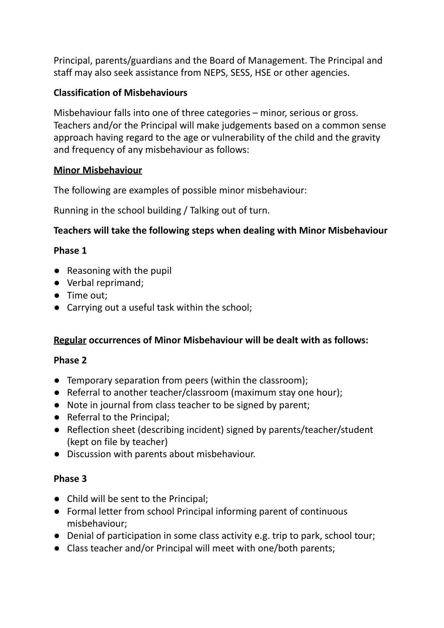Principal, parents/guardians and the Board of Management. The Principal and staff may also seek assistance from NEPS, SESS, HSE or other agencies.

### **Classification of Misbehaviours**

Misbehaviour falls into one of three categories – minor, serious or gross. Teachers and/or the Principal will make judgements based on a common sense approach having regard to the age or vulnerability of the child and the gravity and frequency of any misbehaviour as follows:

### **Minor Misbehaviour**

The following are examples of possible minor misbehaviour:

Running in the school building / Talking out of turn.

### **Teachers will take the following steps when dealing with Minor Misbehaviour**

### **Phase 1**

- Reasoning with the pupil
- Verbal reprimand;
- Time out;
- Carrying out a useful task within the school;

### **Regular occurrences of Minor Misbehaviour will be dealt with as follows:**

#### **Phase 2**

- Temporary separation from peers (within the classroom);
- Referral to another teacher/classroom (maximum stay one hour);
- Note in journal from class teacher to be signed by parent;
- Referral to the Principal;
- Reflection sheet (describing incident) signed by parents/teacher/student (kept on file by teacher)
- Discussion with parents about misbehaviour.

### **Phase 3**

- Child will be sent to the Principal;
- Formal letter from school Principal informing parent of continuous misbehaviour;
- Denial of participation in some class activity e.g. trip to park, school tour;
- Class teacher and/or Principal will meet with one/both parents;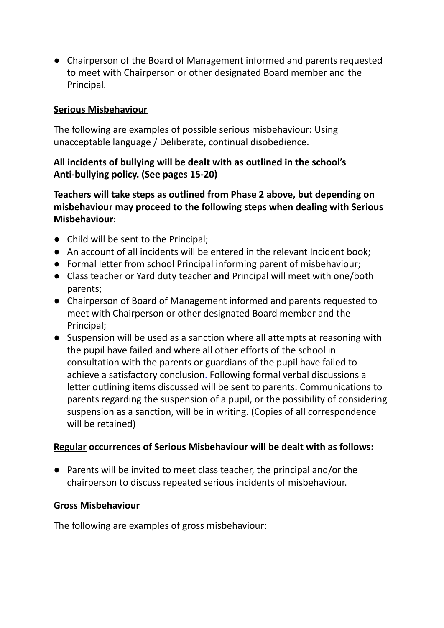● Chairperson of the Board of Management informed and parents requested to meet with Chairperson or other designated Board member and the Principal.

### **Serious Misbehaviour**

The following are examples of possible serious misbehaviour: Using unacceptable language / Deliberate, continual disobedience.

### **All incidents of bullying will be dealt with as outlined in the school's Anti-bullying policy. (See pages 15-20)**

**Teachers will take steps as outlined from Phase 2 above, but depending on misbehaviour may proceed to the following steps when dealing with Serious Misbehaviour**:

- Child will be sent to the Principal;
- An account of all incidents will be entered in the relevant Incident book;
- Formal letter from school Principal informing parent of misbehaviour;
- Class teacher or Yard duty teacher **and** Principal will meet with one/both parents;
- Chairperson of Board of Management informed and parents requested to meet with Chairperson or other designated Board member and the Principal;
- Suspension will be used as a sanction where all attempts at reasoning with the pupil have failed and where all other efforts of the school in consultation with the parents or guardians of the pupil have failed to achieve a satisfactory conclusion. Following formal verbal discussions a letter outlining items discussed will be sent to parents. Communications to parents regarding the suspension of a pupil, or the possibility of considering suspension as a sanction, will be in writing. (Copies of all correspondence will be retained)

### **Regular occurrences of Serious Misbehaviour will be dealt with as follows:**

● Parents will be invited to meet class teacher, the principal and/or the chairperson to discuss repeated serious incidents of misbehaviour.

### **Gross Misbehaviour**

The following are examples of gross misbehaviour: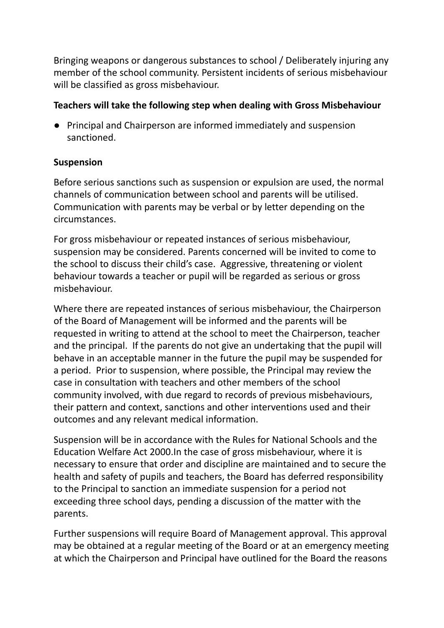Bringing weapons or dangerous substances to school / Deliberately injuring any member of the school community. Persistent incidents of serious misbehaviour will be classified as gross misbehaviour.

### **Teachers will take the following step when dealing with Gross Misbehaviour**

**●** Principal and Chairperson are informed immediately and suspension sanctioned.

### **Suspension**

Before serious sanctions such as suspension or expulsion are used, the normal channels of communication between school and parents will be utilised. Communication with parents may be verbal or by letter depending on the circumstances.

For gross misbehaviour or repeated instances of serious misbehaviour, suspension may be considered. Parents concerned will be invited to come to the school to discuss their child's case. Aggressive, threatening or violent behaviour towards a teacher or pupil will be regarded as serious or gross misbehaviour.

Where there are repeated instances of serious misbehaviour, the Chairperson of the Board of Management will be informed and the parents will be requested in writing to attend at the school to meet the Chairperson, teacher and the principal. If the parents do not give an undertaking that the pupil will behave in an acceptable manner in the future the pupil may be suspended for a period. Prior to suspension, where possible, the Principal may review the case in consultation with teachers and other members of the school community involved, with due regard to records of previous misbehaviours, their pattern and context, sanctions and other interventions used and their outcomes and any relevant medical information.

Suspension will be in accordance with the Rules for National Schools and the Education Welfare Act 2000.In the case of gross misbehaviour, where it is necessary to ensure that order and discipline are maintained and to secure the health and safety of pupils and teachers, the Board has deferred responsibility to the Principal to sanction an immediate suspension for a period not exceeding three school days, pending a discussion of the matter with the parents.

Further suspensions will require Board of Management approval. This approval may be obtained at a regular meeting of the Board or at an emergency meeting at which the Chairperson and Principal have outlined for the Board the reasons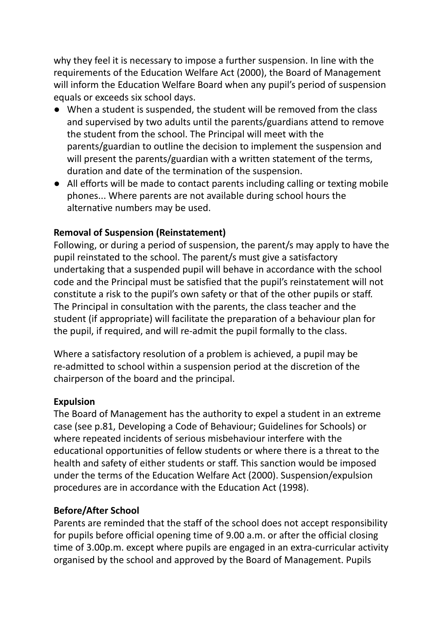why they feel it is necessary to impose a further suspension. In line with the requirements of the Education Welfare Act (2000), the Board of Management will inform the Education Welfare Board when any pupil's period of suspension equals or exceeds six school days.

- **●** When a student is suspended, the student will be removed from the class and supervised by two adults until the parents/guardians attend to remove the student from the school. The Principal will meet with the parents/guardian to outline the decision to implement the suspension and will present the parents/guardian with a written statement of the terms, duration and date of the termination of the suspension.
- **●** All efforts will be made to contact parents including calling or texting mobile phones... Where parents are not available during school hours the alternative numbers may be used.

### **Removal of Suspension (Reinstatement)**

Following, or during a period of suspension, the parent/s may apply to have the pupil reinstated to the school. The parent/s must give a satisfactory undertaking that a suspended pupil will behave in accordance with the school code and the Principal must be satisfied that the pupil's reinstatement will not constitute a risk to the pupil's own safety or that of the other pupils or staff. The Principal in consultation with the parents, the class teacher and the student (if appropriate) will facilitate the preparation of a behaviour plan for the pupil, if required, and will re-admit the pupil formally to the class.

Where a satisfactory resolution of a problem is achieved, a pupil may be re-admitted to school within a suspension period at the discretion of the chairperson of the board and the principal.

#### **Expulsion**

The Board of Management has the authority to expel a student in an extreme case (see p.81, Developing a Code of Behaviour; Guidelines for Schools) or where repeated incidents of serious misbehaviour interfere with the educational opportunities of fellow students or where there is a threat to the health and safety of either students or staff. This sanction would be imposed under the terms of the Education Welfare Act (2000). Suspension/expulsion procedures are in accordance with the Education Act (1998).

### **Before/After School**

Parents are reminded that the staff of the school does not accept responsibility for pupils before official opening time of 9.00 a.m. or after the official closing time of 3.00p.m. except where pupils are engaged in an extra-curricular activity organised by the school and approved by the Board of Management. Pupils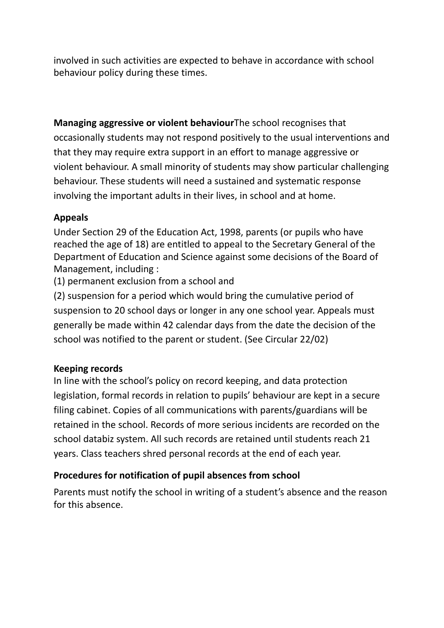involved in such activities are expected to behave in accordance with school behaviour policy during these times.

**Managing aggressive or violent behaviour**The school recognises that occasionally students may not respond positively to the usual interventions and that they may require extra support in an effort to manage aggressive or violent behaviour. A small minority of students may show particular challenging behaviour. These students will need a sustained and systematic response involving the important adults in their lives, in school and at home.

### **Appeals**

Under Section 29 of the Education Act, 1998, parents (or pupils who have reached the age of 18) are entitled to appeal to the Secretary General of the Department of Education and Science against some decisions of the Board of Management, including :

(1) permanent exclusion from a school and

(2) suspension for a period which would bring the cumulative period of suspension to 20 school days or longer in any one school year. Appeals must generally be made within 42 calendar days from the date the decision of the school was notified to the parent or student. (See Circular 22/02)

### **Keeping records**

In line with the school's policy on record keeping, and data protection legislation, formal records in relation to pupils' behaviour are kept in a secure filing cabinet. Copies of all communications with parents/guardians will be retained in the school. Records of more serious incidents are recorded on the school databiz system. All such records are retained until students reach 21 years. Class teachers shred personal records at the end of each year.

### **Procedures for notification of pupil absences from school**

Parents must notify the school in writing of a student's absence and the reason for this absence.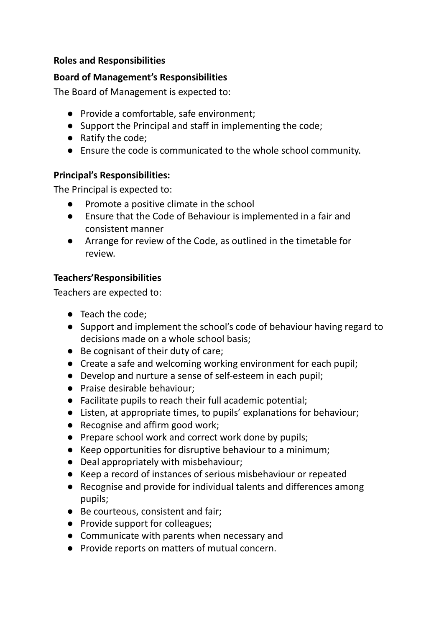### **Roles and Responsibilities**

#### **Board of Management's Responsibilities**

The Board of Management is expected to:

- Provide a comfortable, safe environment;
- Support the Principal and staff in implementing the code;
- Ratify the code;
- Ensure the code is communicated to the whole school community.

#### **Principal's Responsibilities:**

The Principal is expected to:

- Promote a positive climate in the school
- Ensure that the Code of Behaviour is implemented in a fair and consistent manner
- Arrange for review of the Code, as outlined in the timetable for review.

### **Teachers'Responsibilities**

Teachers are expected to:

- Teach the code;
- Support and implement the school's code of behaviour having regard to decisions made on a whole school basis;
- Be cognisant of their duty of care;
- Create a safe and welcoming working environment for each pupil;
- Develop and nurture a sense of self-esteem in each pupil;
- Praise desirable behaviour;
- Facilitate pupils to reach their full academic potential;
- Listen, at appropriate times, to pupils' explanations for behaviour;
- Recognise and affirm good work;
- Prepare school work and correct work done by pupils;
- Keep opportunities for disruptive behaviour to a minimum;
- Deal appropriately with misbehaviour;
- Keep a record of instances of serious misbehaviour or repeated
- Recognise and provide for individual talents and differences among pupils;
- Be courteous, consistent and fair;
- Provide support for colleagues;
- Communicate with parents when necessary and
- Provide reports on matters of mutual concern.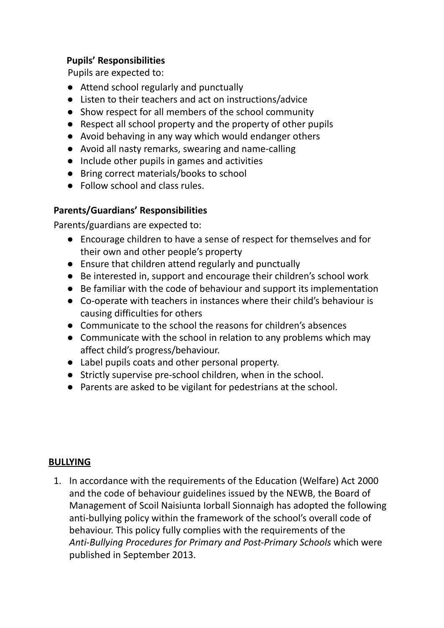### **Pupils' Responsibilities**

Pupils are expected to:

- Attend school regularly and punctually
- Listen to their teachers and act on instructions/advice
- Show respect for all members of the school community
- Respect all school property and the property of other pupils
- Avoid behaving in any way which would endanger others
- Avoid all nasty remarks, swearing and name-calling
- Include other pupils in games and activities
- Bring correct materials/books to school
- Follow school and class rules.

### **Parents/Guardians' Responsibilities**

Parents/guardians are expected to:

- Encourage children to have a sense of respect for themselves and for their own and other people's property
- Ensure that children attend regularly and punctually
- Be interested in, support and encourage their children's school work
- Be familiar with the code of behaviour and support its implementation
- Co-operate with teachers in instances where their child's behaviour is causing difficulties for others
- Communicate to the school the reasons for children's absences
- Communicate with the school in relation to any problems which may affect child's progress/behaviour.
- Label pupils coats and other personal property.
- Strictly supervise pre-school children, when in the school.
- Parents are asked to be vigilant for pedestrians at the school.

### **BULLYING**

1. In accordance with the requirements of the Education (Welfare) Act 2000 and the code of behaviour guidelines issued by the NEWB, the Board of Management of Scoil Naisiunta Iorball Sionnaigh has adopted the following anti-bullying policy within the framework of the school's overall code of behaviour. This policy fully complies with the requirements of the *Anti-Bullying Procedures for Primary and Post-Primary Schools* which were published in September 2013.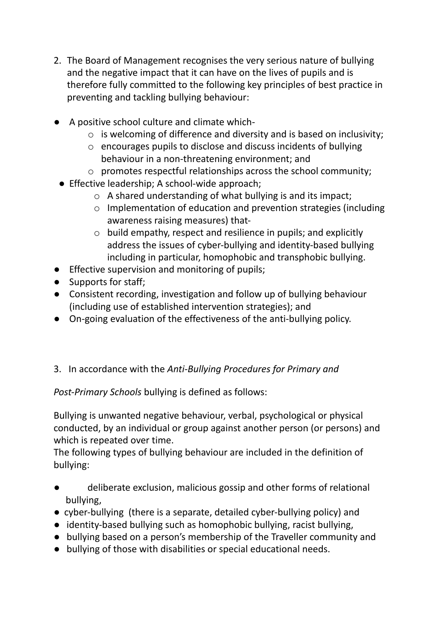- 2. The Board of Management recognises the very serious nature of bullying and the negative impact that it can have on the lives of pupils and is therefore fully committed to the following key principles of best practice in preventing and tackling bullying behaviour:
- A positive school culture and climate which
	- o is welcoming of difference and diversity and is based on inclusivity;
	- o encourages pupils to disclose and discuss incidents of bullying behaviour in a non-threatening environment; and
	- o promotes respectful relationships across the school community;
- Effective leadership; A school-wide approach;
	- o A shared understanding of what bullying is and its impact;
	- o Implementation of education and prevention strategies (including awareness raising measures) that-
	- o build empathy, respect and resilience in pupils; and explicitly address the issues of cyber-bullying and identity-based bullying including in particular, homophobic and transphobic bullying.
- Effective supervision and monitoring of pupils;
- Supports for staff;
- Consistent recording, investigation and follow up of bullying behaviour (including use of established intervention strategies); and
- On-going evaluation of the effectiveness of the anti-bullying policy.

### 3. In accordance with the *Anti-Bullying Procedures for Primary and*

*Post-Primary Schools* bullying is defined as follows:

Bullying is unwanted negative behaviour, verbal, psychological or physical conducted, by an individual or group against another person (or persons) and which is repeated over time.

The following types of bullying behaviour are included in the definition of bullying:

- deliberate exclusion, malicious gossip and other forms of relational bullying,
- cyber-bullying (there is a separate, detailed cyber-bullying policy) and
- identity-based bullying such as homophobic bullying, racist bullying,
- bullying based on a person's membership of the Traveller community and
- bullying of those with disabilities or special educational needs.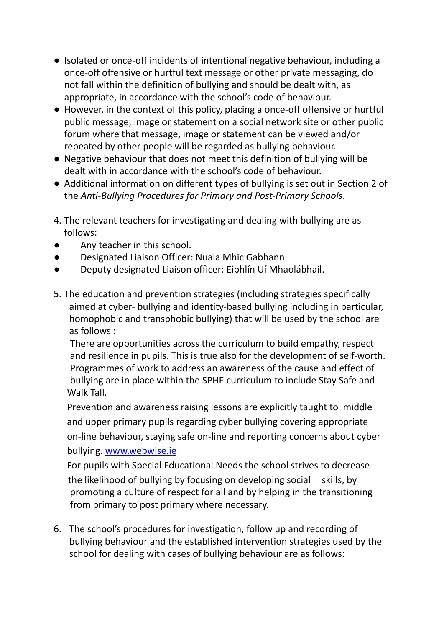- Isolated or once-off incidents of intentional negative behaviour, including a once-off offensive or hurtful text message or other private messaging, do not fall within the definition of bullying and should be dealt with, as appropriate, in accordance with the school's code of behaviour.
- However, in the context of this policy, placing a once-off offensive or hurtful public message, image or statement on a social network site or other public forum where that message, image or statement can be viewed and/or repeated by other people will be regarded as bullying behaviour.
- Negative behaviour that does not meet this definition of bullying will be dealt with in accordance with the school's code of behaviour.
- Additional information on different types of bullying is set out in Section 2 of the *Anti-Bullying Procedures for Primary and Post-Primary Schools*.
- 4. The relevant teachers for investigating and dealing with bullying are as follows:
- Any teacher in this school.
- Designated Liaison Officer: Nuala Mhic Gabhann
- Deputy designated Liaison officer: Eibhlín Uí Mhaolábhail.
- 5. The education and prevention strategies (including strategies specifically aimed at cyber- bullying and identity-based bullying including in particular, homophobic and transphobic bullying) that will be used by the school are as follows :

There are opportunities across the curriculum to build empathy, respect and resilience in pupils. This is true also for the development of self-worth. Programmes of work to address an awareness of the cause and effect of bullying are in place within the SPHE curriculum to include Stay Safe and Walk Tall.

Prevention and awareness raising lessons are explicitly taught to middle and upper primary pupils regarding cyber bullying covering appropriate on-line behaviour, staying safe on-line and reporting concerns about cyber bullying. [www.webwise.ie](http://www.webwise.ie)

For pupils with Special Educational Needs the school strives to decrease the likelihood of bullying by focusing on developing social skills, by promoting a culture of respect for all and by helping in the transitioning from primary to post primary where necessary.

6. The school's procedures for investigation, follow up and recording of bullying behaviour and the established intervention strategies used by the school for dealing with cases of bullying behaviour are as follows: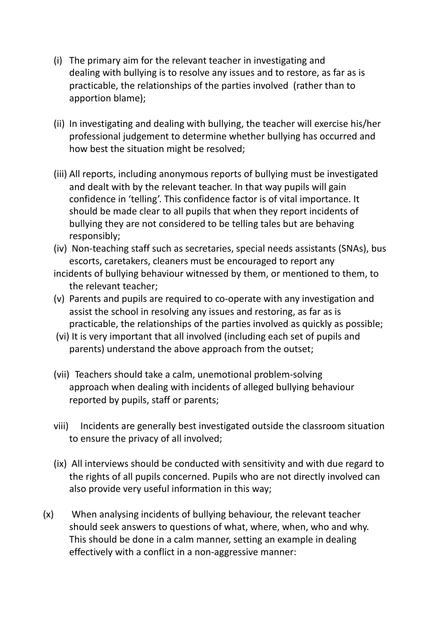- (i) The primary aim for the relevant teacher in investigating and dealing with bullying is to resolve any issues and to restore, as far as is practicable, the relationships of the parties involved (rather than to apportion blame);
- (ii) In investigating and dealing with bullying, the teacher will exercise his/her professional judgement to determine whether bullying has occurred and how best the situation might be resolved;
- (iii) All reports, including anonymous reports of bullying must be investigated and dealt with by the relevant teacher. In that way pupils will gain confidence in 'telling'. This confidence factor is of vital importance. It should be made clear to all pupils that when they report incidents of bullying they are not considered to be telling tales but are behaving responsibly;
- (iv) Non-teaching staff such as secretaries, special needs assistants (SNAs), bus escorts, caretakers, cleaners must be encouraged to report any
- incidents of bullying behaviour witnessed by them, or mentioned to them, to the relevant teacher;
- (v) Parents and pupils are required to co-operate with any investigation and assist the school in resolving any issues and restoring, as far as is practicable, the relationships of the parties involved as quickly as possible;
- (vi) It is very important that all involved (including each set of pupils and parents) understand the above approach from the outset;
- (vii) Teachers should take a calm, unemotional problem-solving approach when dealing with incidents of alleged bullying behaviour reported by pupils, staff or parents;
- viii) Incidents are generally best investigated outside the classroom situation to ensure the privacy of all involved;
- (ix) All interviews should be conducted with sensitivity and with due regard to the rights of all pupils concerned. Pupils who are not directly involved can also provide very useful information in this way;
- (x) When analysing incidents of bullying behaviour, the relevant teacher should seek answers to questions of what, where, when, who and why. This should be done in a calm manner, setting an example in dealing effectively with a conflict in a non-aggressive manner: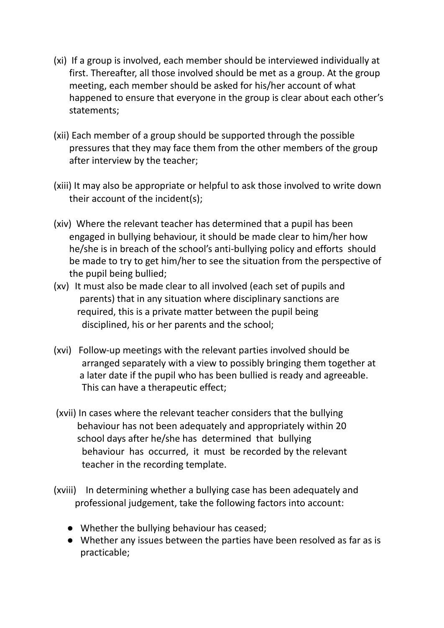- (xi) If a group is involved, each member should be interviewed individually at first. Thereafter, all those involved should be met as a group. At the group meeting, each member should be asked for his/her account of what happened to ensure that everyone in the group is clear about each other's statements;
- (xii) Each member of a group should be supported through the possible pressures that they may face them from the other members of the group after interview by the teacher;
- (xiii) It may also be appropriate or helpful to ask those involved to write down their account of the incident(s);
- (xiv) Where the relevant teacher has determined that a pupil has been engaged in bullying behaviour, it should be made clear to him/her how he/she is in breach of the school's anti-bullying policy and efforts should be made to try to get him/her to see the situation from the perspective of the pupil being bullied;
- (xv) It must also be made clear to all involved (each set of pupils and parents) that in any situation where disciplinary sanctions are required, this is a private matter between the pupil being disciplined, his or her parents and the school;
- (xvi) Follow-up meetings with the relevant parties involved should be arranged separately with a view to possibly bringing them together at a later date if the pupil who has been bullied is ready and agreeable. This can have a therapeutic effect;
- (xvii) In cases where the relevant teacher considers that the bullying behaviour has not been adequately and appropriately within 20 school days after he/she has determined that bullying behaviour has occurred, it must be recorded by the relevant teacher in the recording template.
- (xviii) In determining whether a bullying case has been adequately and professional judgement, take the following factors into account:
	- Whether the bullying behaviour has ceased;
	- Whether any issues between the parties have been resolved as far as is practicable;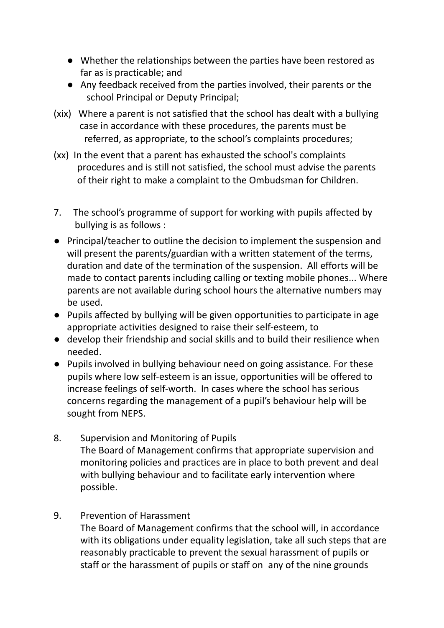- Whether the relationships between the parties have been restored as far as is practicable; and
- Any feedback received from the parties involved, their parents or the school Principal or Deputy Principal;
- (xix) Where a parent is not satisfied that the school has dealt with a bullying case in accordance with these procedures, the parents must be referred, as appropriate, to the school's complaints procedures;
- (xx) In the event that a parent has exhausted the school's complaints procedures and is still not satisfied, the school must advise the parents of their right to make a complaint to the Ombudsman for Children.
- 7. The school's programme of support for working with pupils affected by bullying is as follows :
- **●** Principal/teacher to outline the decision to implement the suspension and will present the parents/guardian with a written statement of the terms, duration and date of the termination of the suspension. All efforts will be made to contact parents including calling or texting mobile phones... Where parents are not available during school hours the alternative numbers may be used.
- Pupils affected by bullying will be given opportunities to participate in age appropriate activities designed to raise their self-esteem, to
- develop their friendship and social skills and to build their resilience when needed.
- Pupils involved in bullying behaviour need on going assistance. For these pupils where low self-esteem is an issue, opportunities will be offered to increase feelings of self-worth. In cases where the school has serious concerns regarding the management of a pupil's behaviour help will be sought from NEPS.
- 8. Supervision and Monitoring of Pupils The Board of Management confirms that appropriate supervision and monitoring policies and practices are in place to both prevent and deal with bullying behaviour and to facilitate early intervention where possible.
- 9. Prevention of Harassment

The Board of Management confirms that the school will, in accordance with its obligations under equality legislation, take all such steps that are reasonably practicable to prevent the sexual harassment of pupils or staff or the harassment of pupils or staff on any of the nine grounds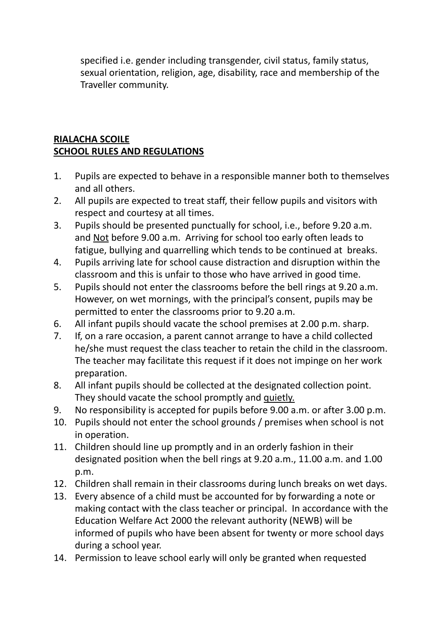specified i.e. gender including transgender, civil status, family status, sexual orientation, religion, age, disability, race and membership of the Traveller community.

## **RIALACHA SCOILE SCHOOL RULES AND REGULATIONS**

- 1. Pupils are expected to behave in a responsible manner both to themselves and all others.
- 2. All pupils are expected to treat staff, their fellow pupils and visitors with respect and courtesy at all times.
- 3. Pupils should be presented punctually for school, i.e., before 9.20 a.m. and Not before 9.00 a.m. Arriving for school too early often leads to fatigue, bullying and quarrelling which tends to be continued at breaks.
- 4. Pupils arriving late for school cause distraction and disruption within the classroom and this is unfair to those who have arrived in good time.
- 5. Pupils should not enter the classrooms before the bell rings at 9.20 a.m. However, on wet mornings, with the principal's consent, pupils may be permitted to enter the classrooms prior to 9.20 a.m.
- 6. All infant pupils should vacate the school premises at 2.00 p.m. sharp.
- 7. If, on a rare occasion, a parent cannot arrange to have a child collected he/she must request the class teacher to retain the child in the classroom. The teacher may facilitate this request if it does not impinge on her work preparation.
- 8. All infant pupils should be collected at the designated collection point. They should vacate the school promptly and quietly.
- 9. No responsibility is accepted for pupils before 9.00 a.m. or after 3.00 p.m.
- 10. Pupils should not enter the school grounds / premises when school is not in operation.
- 11. Children should line up promptly and in an orderly fashion in their designated position when the bell rings at 9.20 a.m., 11.00 a.m. and 1.00 p.m.
- 12. Children shall remain in their classrooms during lunch breaks on wet days.
- 13. Every absence of a child must be accounted for by forwarding a note or making contact with the class teacher or principal. In accordance with the Education Welfare Act 2000 the relevant authority (NEWB) will be informed of pupils who have been absent for twenty or more school days during a school year.
- 14. Permission to leave school early will only be granted when requested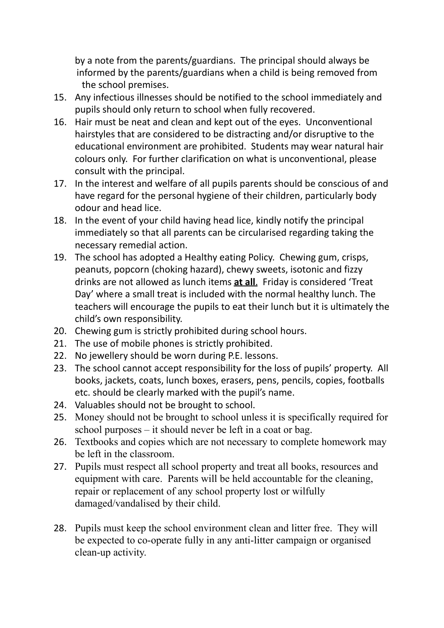by a note from the parents/guardians. The principal should always be informed by the parents/guardians when a child is being removed from the school premises.

- 15. Any infectious illnesses should be notified to the school immediately and pupils should only return to school when fully recovered.
- 16. Hair must be neat and clean and kept out of the eyes. Unconventional hairstyles that are considered to be distracting and/or disruptive to the educational environment are prohibited. Students may wear natural hair colours only. For further clarification on what is unconventional, please consult with the principal.
- 17. In the interest and welfare of all pupils parents should be conscious of and have regard for the personal hygiene of their children, particularly body odour and head lice.
- 18. In the event of your child having head lice, kindly notify the principal immediately so that all parents can be circularised regarding taking the necessary remedial action.
- 19. The school has adopted a Healthy eating Policy. Chewing gum, crisps, peanuts, popcorn (choking hazard), chewy sweets, isotonic and fizzy drinks are not allowed as lunch items **at all**. Friday is considered 'Treat Day' where a small treat is included with the normal healthy lunch. The teachers will encourage the pupils to eat their lunch but it is ultimately the child's own responsibility.
- 20. Chewing gum is strictly prohibited during school hours.
- 21. The use of mobile phones is strictly prohibited.
- 22. No jewellery should be worn during P.E. lessons.
- 23. The school cannot accept responsibility for the loss of pupils' property. All books, jackets, coats, lunch boxes, erasers, pens, pencils, copies, footballs etc. should be clearly marked with the pupil's name.
- 24. Valuables should not be brought to school.
- 25. Money should not be brought to school unless it is specifically required for school purposes – it should never be left in a coat or bag.
- 26. Textbooks and copies which are not necessary to complete homework may be left in the classroom.
- 27. Pupils must respect all school property and treat all books, resources and equipment with care. Parents will be held accountable for the cleaning, repair or replacement of any school property lost or wilfully damaged/vandalised by their child.
- 28. Pupils must keep the school environment clean and litter free. They will be expected to co-operate fully in any anti-litter campaign or organised clean-up activity.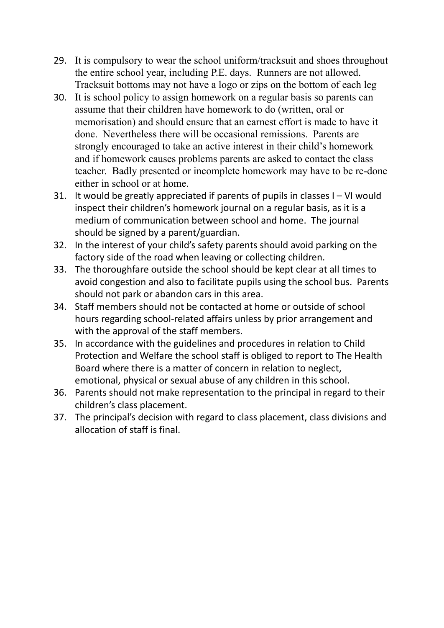- 29. It is compulsory to wear the school uniform/tracksuit and shoes throughout the entire school year, including P.E. days. Runners are not allowed. Tracksuit bottoms may not have a logo or zips on the bottom of each leg
- 30. It is school policy to assign homework on a regular basis so parents can assume that their children have homework to do (written, oral or memorisation) and should ensure that an earnest effort is made to have it done. Nevertheless there will be occasional remissions. Parents are strongly encouraged to take an active interest in their child's homework and if homework causes problems parents are asked to contact the class teacher. Badly presented or incomplete homework may have to be re-done either in school or at home.
- 31. It would be greatly appreciated if parents of pupils in classes I VI would inspect their children's homework journal on a regular basis, as it is a medium of communication between school and home. The journal should be signed by a parent/guardian.
- 32. In the interest of your child's safety parents should avoid parking on the factory side of the road when leaving or collecting children.
- 33. The thoroughfare outside the school should be kept clear at all times to avoid congestion and also to facilitate pupils using the school bus. Parents should not park or abandon cars in this area.
- 34. Staff members should not be contacted at home or outside of school hours regarding school-related affairs unless by prior arrangement and with the approval of the staff members.
- 35. In accordance with the guidelines and procedures in relation to Child Protection and Welfare the school staff is obliged to report to The Health Board where there is a matter of concern in relation to neglect, emotional, physical or sexual abuse of any children in this school.
- 36. Parents should not make representation to the principal in regard to their children's class placement.
- 37. The principal's decision with regard to class placement, class divisions and allocation of staff is final.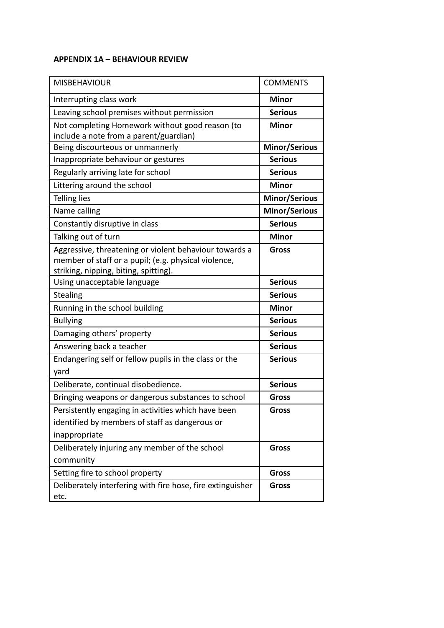#### **APPENDIX 1A – BEHAVIOUR REVIEW**

| <b>MISBEHAVIOUR</b>                                                                       | <b>COMMENTS</b>      |
|-------------------------------------------------------------------------------------------|----------------------|
| Interrupting class work                                                                   | <b>Minor</b>         |
| Leaving school premises without permission                                                | <b>Serious</b>       |
| Not completing Homework without good reason (to<br>include a note from a parent/guardian) | <b>Minor</b>         |
| Being discourteous or unmannerly                                                          | <b>Minor/Serious</b> |
| Inappropriate behaviour or gestures                                                       | <b>Serious</b>       |
| Regularly arriving late for school                                                        | <b>Serious</b>       |
| Littering around the school                                                               | <b>Minor</b>         |
| <b>Telling lies</b>                                                                       | <b>Minor/Serious</b> |
| Name calling                                                                              | <b>Minor/Serious</b> |
| Constantly disruptive in class                                                            | <b>Serious</b>       |
| Talking out of turn                                                                       | <b>Minor</b>         |
| Aggressive, threatening or violent behaviour towards a                                    | <b>Gross</b>         |
| member of staff or a pupil; (e.g. physical violence,                                      |                      |
| striking, nipping, biting, spitting).                                                     |                      |
| Using unacceptable language                                                               | <b>Serious</b>       |
| <b>Stealing</b>                                                                           | <b>Serious</b>       |
| Running in the school building                                                            | <b>Minor</b>         |
| <b>Bullying</b>                                                                           | <b>Serious</b>       |
| Damaging others' property                                                                 | <b>Serious</b>       |
| Answering back a teacher                                                                  | <b>Serious</b>       |
| Endangering self or fellow pupils in the class or the<br>yard                             | <b>Serious</b>       |
| Deliberate, continual disobedience.                                                       | <b>Serious</b>       |
| Bringing weapons or dangerous substances to school                                        | <b>Gross</b>         |
| Persistently engaging in activities which have been                                       | Gross                |
| identified by members of staff as dangerous or                                            |                      |
| inappropriate                                                                             |                      |
| Deliberately injuring any member of the school                                            | <b>Gross</b>         |
| community                                                                                 |                      |
| Setting fire to school property                                                           | <b>Gross</b>         |
| Deliberately interfering with fire hose, fire extinguisher<br>etc.                        | <b>Gross</b>         |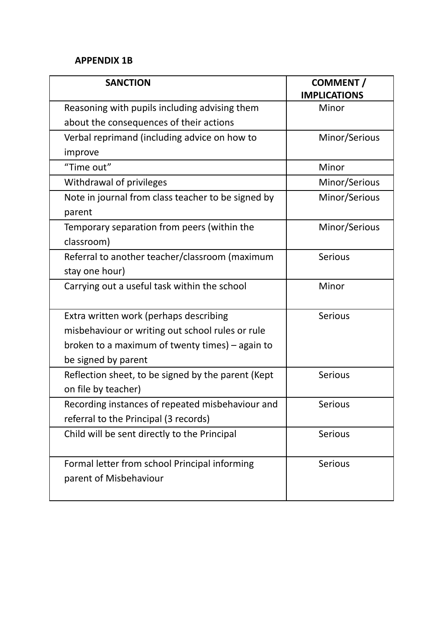#### **APPENDIX 1B**

| <b>SANCTION</b>                                    | <b>COMMENT /</b><br><b>IMPLICATIONS</b> |
|----------------------------------------------------|-----------------------------------------|
| Reasoning with pupils including advising them      | Minor                                   |
| about the consequences of their actions            |                                         |
| Verbal reprimand (including advice on how to       | Minor/Serious                           |
| improve                                            |                                         |
| "Time out"                                         | Minor                                   |
| Withdrawal of privileges                           | Minor/Serious                           |
| Note in journal from class teacher to be signed by | Minor/Serious                           |
| parent                                             |                                         |
| Temporary separation from peers (within the        | Minor/Serious                           |
| classroom)                                         |                                         |
| Referral to another teacher/classroom (maximum     | <b>Serious</b>                          |
| stay one hour)                                     |                                         |
| Carrying out a useful task within the school       | Minor                                   |
|                                                    |                                         |
| Extra written work (perhaps describing             | <b>Serious</b>                          |
| misbehaviour or writing out school rules or rule   |                                         |
| broken to a maximum of twenty times) – again to    |                                         |
| be signed by parent                                |                                         |
| Reflection sheet, to be signed by the parent (Kept | Serious                                 |
| on file by teacher)                                |                                         |
| Recording instances of repeated misbehaviour and   | Serious                                 |
| referral to the Principal (3 records)              |                                         |
| Child will be sent directly to the Principal       | Serious                                 |
|                                                    |                                         |
| Formal letter from school Principal informing      | <b>Serious</b>                          |
| parent of Misbehaviour                             |                                         |
|                                                    |                                         |